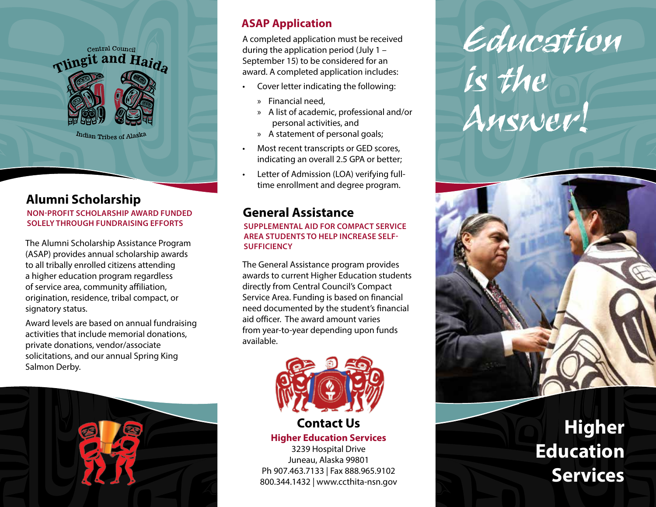

#### **Alumni Scholarship**

**NON-PROFIT SCHOLARSHIP AWARD FUNDED SOLELY THROUGH FUNDRAISING EFFORTS** 

The Alumni Scholarship Assistance Program (ASAP) provides annual scholarship awards to all tribally enrolled citizens attending a higher education program regardless of service area, community affiliation, origination, residence, tribal compact, or signatory status.

Award levels are based on annual fundraising activities that include memorial donations, private donations, vendor/associate solicitations, and our annual Spring King Salmon Derby.



#### **ASAP Application**

A completed application must be received during the application period (July 1 – September 15) to be considered for an award. A completed application includes:

- Cover letter indicating the following:
	- » Financial need,
	- » A list of academic, professional and/or personal activities, and
	- » A statement of personal goals;
- Most recent transcripts or GED scores, indicating an overall 2.5 GPA or better;
- Letter of Admission (LOA) verifying fulltime enrollment and degree program.

#### **General Assistance**

**SUPPLEMENTAL AID FOR COMPACT SERVICE AREA STUDENTS TO HELP INCREASE SELF-SUFFICIENCY**

The General Assistance program provides awards to current Higher Education students directly from Central Council's Compact Service Area. Funding is based on financial need documented by the student's financial aid officer. The award amount varies from year-to-year depending upon funds available.



#### **Contact Us**

**Higher Education Services**

3239 Hospital Drive Juneau, Alaska 99801 Ph 907.463.7133 | Fax 888.965.9102 800.344.1432 | www.ccthita-nsn.gov

## Education Is the Answer!



### **Higher Education Services**